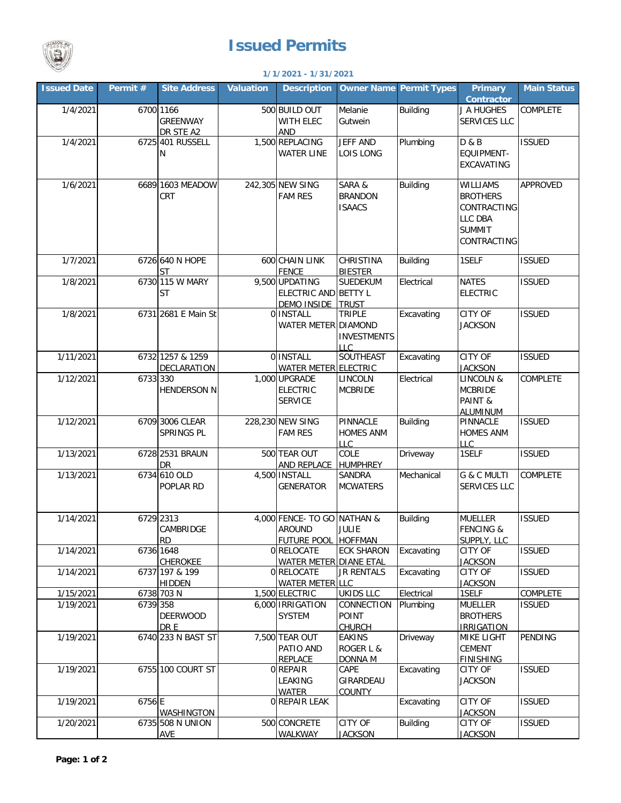

## **Issued Permits**

| <b>Court</b><br>1/1/2021 - 1/31/2021 |          |                                           |                  |                                                                    |                                                                  |                                |                                                                                       |                    |  |  |  |
|--------------------------------------|----------|-------------------------------------------|------------------|--------------------------------------------------------------------|------------------------------------------------------------------|--------------------------------|---------------------------------------------------------------------------------------|--------------------|--|--|--|
| <b>Issued Date</b>                   | Permit # | <b>Site Address</b>                       | <b>Valuation</b> | <b>Description</b>                                                 |                                                                  | <b>Owner Name Permit Types</b> | <b>Primary</b><br>Contractor                                                          | <b>Main Status</b> |  |  |  |
| 1/4/2021                             |          | 6700 1166<br><b>GREENWAY</b><br>DR STE A2 |                  | 500 BUILD OUT<br>WITH ELEC<br><b>AND</b>                           | Melanie<br>Gutwein                                               | <b>Building</b>                | J A HUGHES<br>SERVICES LLC                                                            | COMPLETE           |  |  |  |
| 1/4/2021                             |          | 6725 401 RUSSELL<br>Ν                     |                  | 1,500 REPLACING<br><b>WATER LINE</b>                               | <b>JEFF AND</b><br>LOIS LONG                                     | Plumbing                       | D & B<br>EQUIPMENT-<br>EXCAVATING                                                     | <b>ISSUED</b>      |  |  |  |
| 1/6/2021                             |          | 6689 1603 MEADOW<br>CRT                   |                  | 242,305 NEW SING<br><b>FAM RES</b>                                 | SARA &<br><b>BRANDON</b><br><b>ISAACS</b>                        | <b>Building</b>                | WILLIAMS<br><b>BROTHERS</b><br>CONTRACTING<br>LLC DBA<br><b>SUMMIT</b><br>CONTRACTING | APPROVED           |  |  |  |
| 1/7/2021                             |          | 6726 640 N HOPE<br><b>ST</b>              |                  | 600 CHAIN LINK<br><b>FENCE</b>                                     | <b>CHRISTINA</b><br><b>BIESTER</b>                               | <b>Building</b>                | 1SELF                                                                                 | <b>ISSUED</b>      |  |  |  |
| 1/8/2021                             |          | 6730 115 W MARY<br><b>ST</b>              |                  | 9,500 UPDATING<br>ELECTRIC AND BETTY L<br><b>DEMO INSIDE</b>       | <b>SUEDEKUM</b><br><b>TRUST</b>                                  | Electrical                     | <b>NATES</b><br><b>ELECTRIC</b>                                                       | <b>ISSUED</b>      |  |  |  |
| 1/8/2021                             |          | 6731 2681 E Main St                       |                  | 0 INSTALL<br>WATER METER DIAMOND                                   | <b>TRIPLE</b><br><b>INVESTMENTS</b><br>$\overline{\mathsf{H}}$ C | Excavating                     | <b>CITY OF</b><br><b>JACKSON</b>                                                      | <b>ISSUED</b>      |  |  |  |
| 1/11/2021                            |          | 6732 1257 & 1259<br><b>DECLARATION</b>    |                  | 0 <b>INSTALL</b><br>WATER METER ELECTRIC                           | SOUTHEAST                                                        | Excavating                     | <b>CITY OF</b><br><b>JACKSON</b>                                                      | <b>ISSUED</b>      |  |  |  |
| 1/12/2021                            | 6733 330 | <b>HENDERSON N</b>                        |                  | 1,000 UPGRADE<br><b>ELECTRIC</b><br><b>SERVICE</b>                 | LINCOLN<br><b>MCBRIDE</b>                                        | Electrical                     | LINCOLN &<br><b>MCBRIDE</b><br>PAINT &<br><b>ALUMINUM</b>                             | COMPLETE           |  |  |  |
| 1/12/2021                            |          | 6709 3006 CLEAR<br>SPRINGS PL             |                  | 228,230 NEW SING<br><b>FAM RES</b>                                 | PINNACLE<br><b>HOMES ANM</b><br>LLC                              | Building                       | PINNACLE<br><b>HOMES ANM</b><br>LLC                                                   | <b>ISSUED</b>      |  |  |  |
| 1/13/2021                            |          | 6728 2531 BRAUN<br>DR                     |                  | 500 TEAR OUT<br>AND REPLACE                                        | COLE<br><b>HUMPHREY</b>                                          | Driveway                       | 1SELF                                                                                 | <b>ISSUED</b>      |  |  |  |
| 1/13/2021                            |          | 6734 610 OLD<br>POPLAR RD                 |                  | 4,500 INSTALL<br><b>GENERATOR</b>                                  | <b>SANDRA</b><br><b>MCWATERS</b>                                 | Mechanical                     | <b>G &amp; C MULTI</b><br>SERVICES LLC                                                | COMPLETE           |  |  |  |
| 1/14/2021                            |          | 6729 2313<br>CAMBRIDGE<br><b>RD</b>       |                  | 4,000 FENCE- TO GO NATHAN &<br><b>AROUND</b><br><b>FUTURE POOL</b> | <b>JULIE</b><br><b>HOFFMAN</b>                                   | <b>Building</b>                | <b>MUELLER</b><br><b>FENCING &amp;</b><br>SUPPLY, LLC                                 | <b>ISSUED</b>      |  |  |  |
| 1/14/2021                            |          | 6736 1648<br><b>CHEROKEE</b>              |                  | 0 RELOCATE<br>WATER METER DIANE ETAL                               | <b>ECK SHARON</b>                                                | Excavating                     | <b>CITY OF</b><br><b>JACKSON</b>                                                      | <b>ISSUED</b>      |  |  |  |
| 1/14/2021                            |          | 6737 197 & 199<br><b>HIDDEN</b>           |                  | 0 RELOCATE<br><b>WATER METER LLC</b>                               | <b>JR RENTALS</b>                                                | Excavating                     | <b>CITY OF</b><br><b>JACKSON</b>                                                      | <b>ISSUED</b>      |  |  |  |
| 1/15/2021                            |          | 6738 703 N                                |                  | 1,500 ELECTRIC                                                     | <b>UKIDS LLC</b>                                                 | Electrical                     | 1SELF                                                                                 | COMPLETE           |  |  |  |
| 1/19/2021                            | 6739 358 | <b>DEERWOOD</b><br>DR E                   |                  | 6,000 IRRIGATION<br><b>SYSTEM</b>                                  | CONNECTION<br>POINT<br><b>CHURCH</b>                             | Plumbing                       | <b>MUELLER</b><br><b>BROTHERS</b><br><b>IRRIGATION</b>                                | <b>ISSUED</b>      |  |  |  |
| 1/19/2021                            |          | 6740 233 N BAST ST                        |                  | 7,500 TEAR OUT<br>PATIO AND<br><b>REPLACE</b>                      | <b>EAKINS</b><br>ROGER L &<br><b>DONNA M</b>                     | Driveway                       | <b>MIKE LIGHT</b><br>CEMENT<br><b>FINISHING</b>                                       | PENDING            |  |  |  |
| 1/19/2021                            |          | 6755 100 COURT ST                         |                  | 0 REPAIR<br>LEAKING<br><b>WATER</b>                                | CAPE<br>GIRARDEAU<br><b>COUNTY</b>                               | Excavating                     | <b>CITY OF</b><br><b>JACKSON</b>                                                      | <b>ISSUED</b>      |  |  |  |
| 1/19/2021                            | 6756 E   | <b>WASHINGTON</b>                         |                  | 0 REPAIR LEAK                                                      |                                                                  | Excavating                     | CITY OF<br><b>JACKSON</b>                                                             | <b>ISSUED</b>      |  |  |  |
| 1/20/2021                            |          | 6735 508 N UNION<br><b>AVE</b>            |                  | 500 CONCRETE<br><b>WALKWAY</b>                                     | <b>CITY OF</b><br><b>JACKSON</b>                                 | <b>Building</b>                | <b>CITY OF</b><br><b>JACKSON</b>                                                      | <b>ISSUED</b>      |  |  |  |